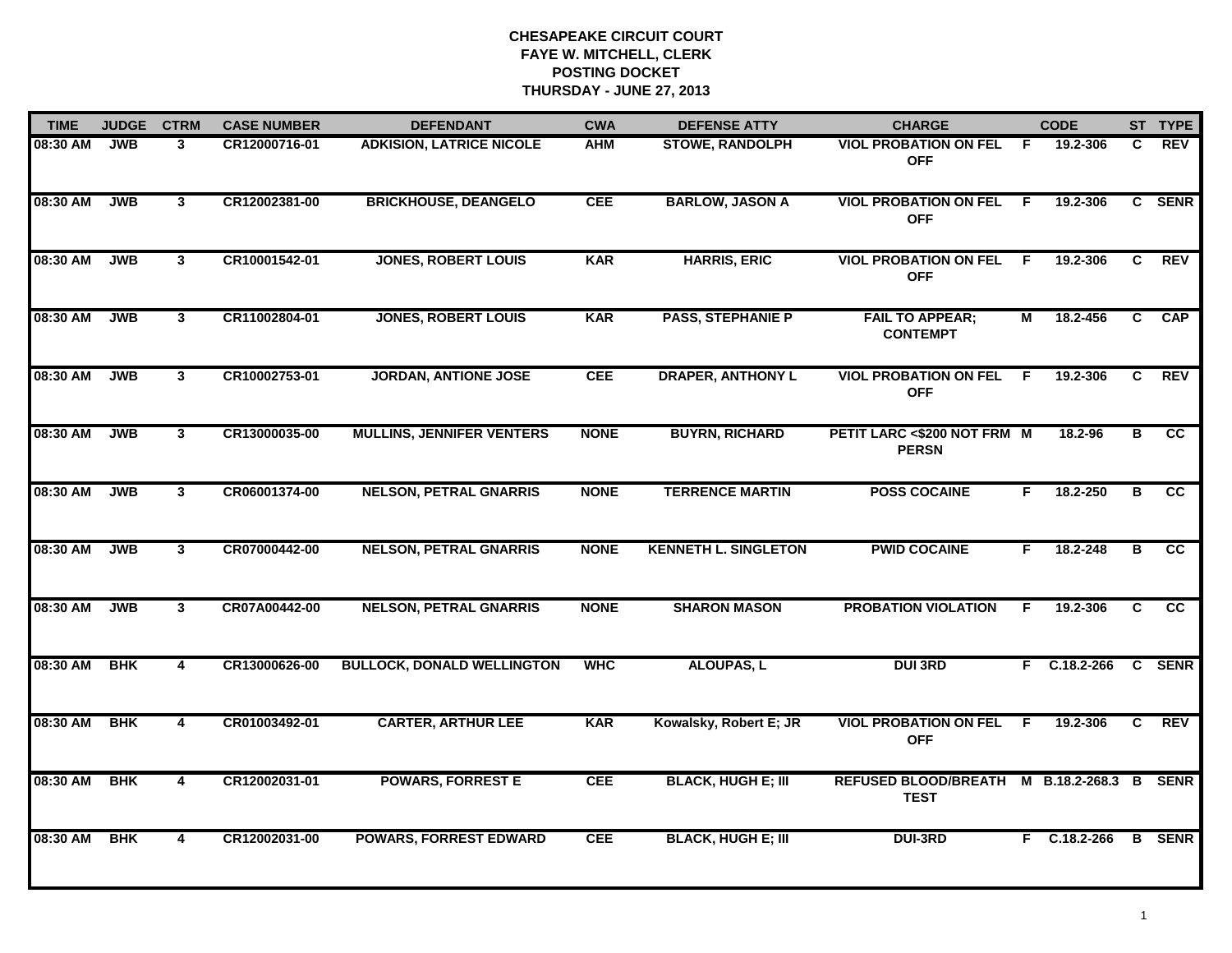| <b>TIME</b> | <b>JUDGE</b> | <b>CTRM</b>    | <b>CASE NUMBER</b> | <b>DEFENDANT</b>                  | <b>CWA</b>  | <b>DEFENSE ATTY</b>         | <b>CHARGE</b>                               |     | <b>CODE</b>      |    | ST TYPE         |
|-------------|--------------|----------------|--------------------|-----------------------------------|-------------|-----------------------------|---------------------------------------------|-----|------------------|----|-----------------|
| 08:30 AM    | <b>JWB</b>   | 3              | CR12000716-01      | <b>ADKISION, LATRICE NICOLE</b>   | <b>AHM</b>  | <b>STOWE, RANDOLPH</b>      | <b>VIOL PROBATION ON FEL</b><br><b>OFF</b>  | -F  | 19.2-306         | C. | REV             |
| 08:30 AM    | <b>JWB</b>   | 3 <sup>1</sup> | CR12002381-00      | <b>BRICKHOUSE, DEANGELO</b>       | CEE         | <b>BARLOW, JASON A</b>      | <b>VIOL PROBATION ON FEL</b><br><b>OFF</b>  | F   | 19.2-306         |    | C SENR          |
| 08:30 AM    | <b>JWB</b>   | $\mathbf{3}$   | CR10001542-01      | <b>JONES, ROBERT LOUIS</b>        | <b>KAR</b>  | <b>HARRIS, ERIC</b>         | <b>VIOL PROBATION ON FEL</b><br><b>OFF</b>  | F.  | 19.2-306         | C  | <b>REV</b>      |
| 08:30 AM    | <b>JWB</b>   | 3              | CR11002804-01      | <b>JONES, ROBERT LOUIS</b>        | <b>KAR</b>  | <b>PASS, STEPHANIE P</b>    | <b>FAIL TO APPEAR;</b><br><b>CONTEMPT</b>   | М   | 18.2-456         | C. | <b>CAP</b>      |
| 08:30 AM    | <b>JWB</b>   | $\mathbf{3}$   | CR10002753-01      | <b>JORDAN, ANTIONE JOSE</b>       | <b>CEE</b>  | <b>DRAPER, ANTHONY L</b>    | <b>VIOL PROBATION ON FEL</b><br><b>OFF</b>  | -F  | 19.2-306         | C  | <b>REV</b>      |
| 08:30 AM    | <b>JWB</b>   | 3              | CR13000035-00      | <b>MULLINS, JENNIFER VENTERS</b>  | <b>NONE</b> | <b>BUYRN, RICHARD</b>       | PETIT LARC <\$200 NOT FRM M<br><b>PERSN</b> |     | 18.2-96          | в  | CC              |
| 08:30 AM    | <b>JWB</b>   | 3              | CR06001374-00      | <b>NELSON, PETRAL GNARRIS</b>     | <b>NONE</b> | <b>TERRENCE MARTIN</b>      | <b>POSS COCAINE</b>                         | F.  | 18.2-250         | B  | cc              |
| 08:30 AM    | <b>JWB</b>   | 3              | CR07000442-00      | <b>NELSON, PETRAL GNARRIS</b>     | <b>NONE</b> | <b>KENNETH L. SINGLETON</b> | <b>PWID COCAINE</b>                         | F.  | 18.2-248         | В  | <b>CC</b>       |
| 08:30 AM    | <b>JWB</b>   | 3              | CR07A00442-00      | <b>NELSON, PETRAL GNARRIS</b>     | <b>NONE</b> | <b>SHARON MASON</b>         | <b>PROBATION VIOLATION</b>                  | F   | 19.2-306         | C  | $\overline{cc}$ |
| 08:30 AM    | <b>BHK</b>   | 4              | CR13000626-00      | <b>BULLOCK, DONALD WELLINGTON</b> | <b>WHC</b>  | <b>ALOUPAS, L</b>           | <b>DUI 3RD</b>                              |     | $F$ C.18.2-266   |    | C SENR          |
| 08:30 AM    | <b>BHK</b>   | 4              | CR01003492-01      | <b>CARTER, ARTHUR LEE</b>         | <b>KAR</b>  | Kowalsky, Robert E; JR      | <b>VIOL PROBATION ON FEL</b><br><b>OFF</b>  | - F | 19.2-306         | C  | <b>REV</b>      |
| 08:30 AM    | <b>BHK</b>   | $\overline{4}$ | CR12002031-01      | <b>POWARS, FORREST E</b>          | <b>CEE</b>  | <b>BLACK, HUGH E; III</b>   | <b>REFUSED BLOOD/BREATH</b><br><b>TEST</b>  |     | M B.18.2-268.3 B |    | <b>SENR</b>     |
| 08:30 AM    | <b>BHK</b>   | 4              | CR12002031-00      | <b>POWARS, FORREST EDWARD</b>     | <b>CEE</b>  | <b>BLACK, HUGH E; III</b>   | <b>DUI-3RD</b>                              |     | F C.18.2-266     |    | <b>B</b> SENR   |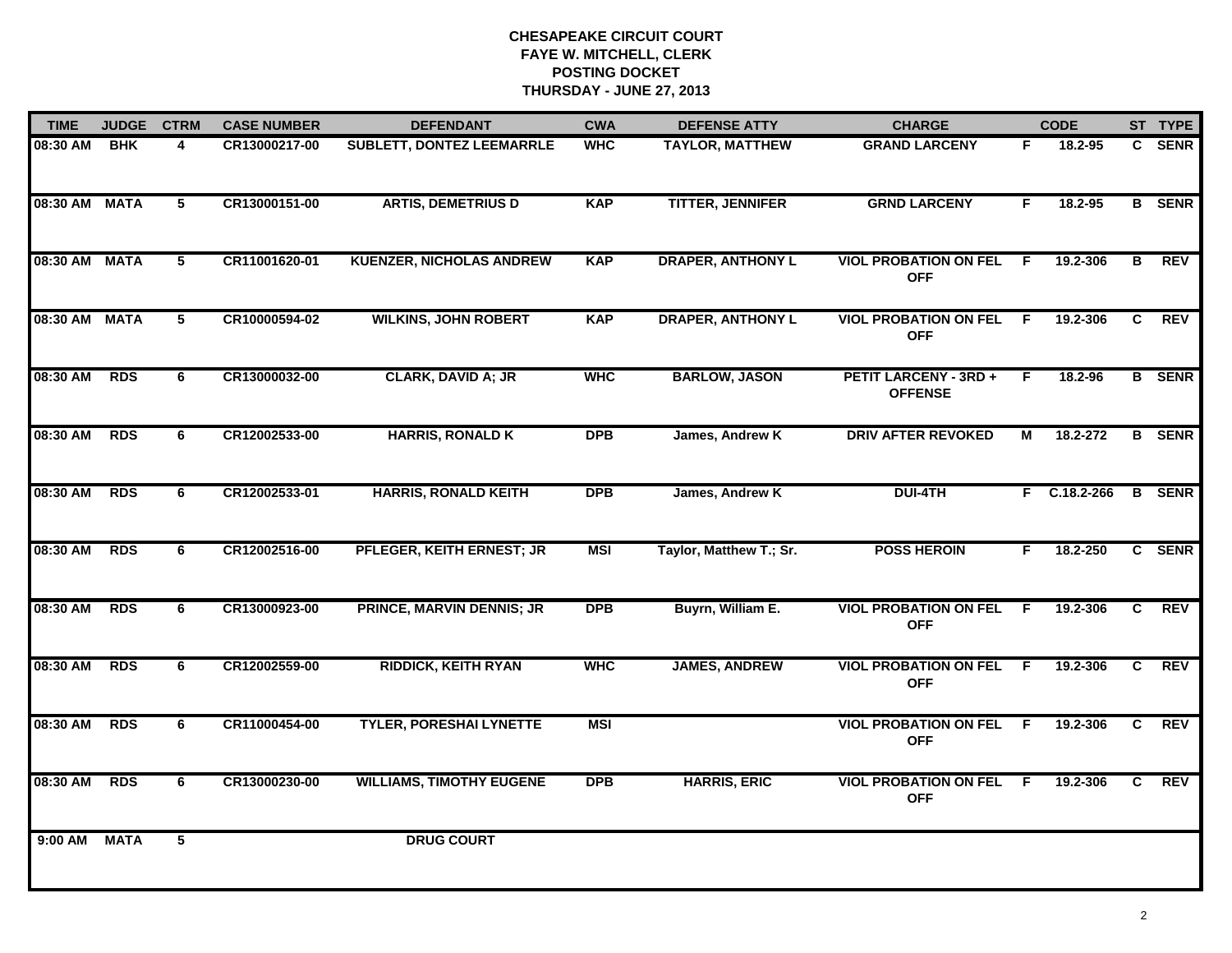| <b>TIME</b>   | <b>JUDGE</b> | <b>CTRM</b> | <b>CASE NUMBER</b> | <b>DEFENDANT</b>                 | <b>CWA</b> | <b>DEFENSE ATTY</b>      | <b>CHARGE</b>                                  |    | <b>CODE</b>    |                | ST TYPE       |
|---------------|--------------|-------------|--------------------|----------------------------------|------------|--------------------------|------------------------------------------------|----|----------------|----------------|---------------|
| 08:30 AM      | <b>BHK</b>   | 4           | CR13000217-00      | <b>SUBLETT, DONTEZ LEEMARRLE</b> | <b>WHC</b> | <b>TAYLOR, MATTHEW</b>   | <b>GRAND LARCENY</b>                           | F. | 18.2-95        |                | C SENR        |
| 08:30 AM MATA |              | 5           | CR13000151-00      | <b>ARTIS, DEMETRIUS D</b>        | <b>KAP</b> | <b>TITTER, JENNIFER</b>  | <b>GRND LARCENY</b>                            | F  | 18.2-95        |                | <b>B</b> SENR |
| 08:30 AM MATA |              | 5           | CR11001620-01      | <b>KUENZER, NICHOLAS ANDREW</b>  | <b>KAP</b> | <b>DRAPER, ANTHONY L</b> | <b>VIOL PROBATION ON FEL</b><br><b>OFF</b>     | F. | 19.2-306       | В              | <b>REV</b>    |
| 08:30 AM MATA |              | 5           | CR10000594-02      | <b>WILKINS, JOHN ROBERT</b>      | <b>KAP</b> | <b>DRAPER, ANTHONY L</b> | <b>VIOL PROBATION ON FEL</b><br><b>OFF</b>     | F. | 19.2-306       | C.             | <b>REV</b>    |
| 08:30 AM      | <b>RDS</b>   | 6           | CR13000032-00      | CLARK, DAVID A; JR               | <b>WHC</b> | <b>BARLOW, JASON</b>     | <b>PETIT LARCENY - 3RD +</b><br><b>OFFENSE</b> | F. | 18.2-96        |                | <b>B</b> SENR |
| 08:30 AM      | <b>RDS</b>   | 6           | CR12002533-00      | <b>HARRIS, RONALD K</b>          | <b>DPB</b> | James, Andrew K          | <b>DRIV AFTER REVOKED</b>                      | М  | 18.2-272       |                | <b>B</b> SENR |
| 08:30 AM      | <b>RDS</b>   | 6           | CR12002533-01      | <b>HARRIS, RONALD KEITH</b>      | <b>DPB</b> | James, Andrew K          | <b>DUI-4TH</b>                                 |    | $F$ C.18.2-266 | B              | <b>SENR</b>   |
| 08:30 AM      | <b>RDS</b>   | 6           | CR12002516-00      | PFLEGER, KEITH ERNEST; JR        | <b>MSI</b> | Taylor, Matthew T.; Sr.  | <b>POSS HEROIN</b>                             | F  | 18.2-250       |                | C SENR        |
| 08:30 AM      | <b>RDS</b>   | 6           | CR13000923-00      | <b>PRINCE, MARVIN DENNIS; JR</b> | <b>DPB</b> | Buyrn, William E.        | <b>VIOL PROBATION ON FEL</b><br><b>OFF</b>     | -F | 19.2-306       | C              | <b>REV</b>    |
| 08:30 AM      | <b>RDS</b>   | 6           | CR12002559-00      | <b>RIDDICK, KEITH RYAN</b>       | <b>WHC</b> | <b>JAMES, ANDREW</b>     | <b>VIOL PROBATION ON FEL</b><br><b>OFF</b>     | F  | 19.2-306       | $\overline{c}$ | <b>REV</b>    |
| 08:30 AM      | <b>RDS</b>   | 6           | CR11000454-00      | <b>TYLER, PORESHAI LYNETTE</b>   | <b>MSI</b> |                          | <b>VIOL PROBATION ON FEL</b><br><b>OFF</b>     | F. | 19.2-306       | C              | <b>REV</b>    |
| 08:30 AM      | <b>RDS</b>   | 6           | CR13000230-00      | <b>WILLIAMS, TIMOTHY EUGENE</b>  | <b>DPB</b> | <b>HARRIS, ERIC</b>      | <b>VIOL PROBATION ON FEL</b><br><b>OFF</b>     | F. | 19.2-306       | C              | <b>REV</b>    |
| $9:00$ AM     | <b>MATA</b>  | 5           |                    | <b>DRUG COURT</b>                |            |                          |                                                |    |                |                |               |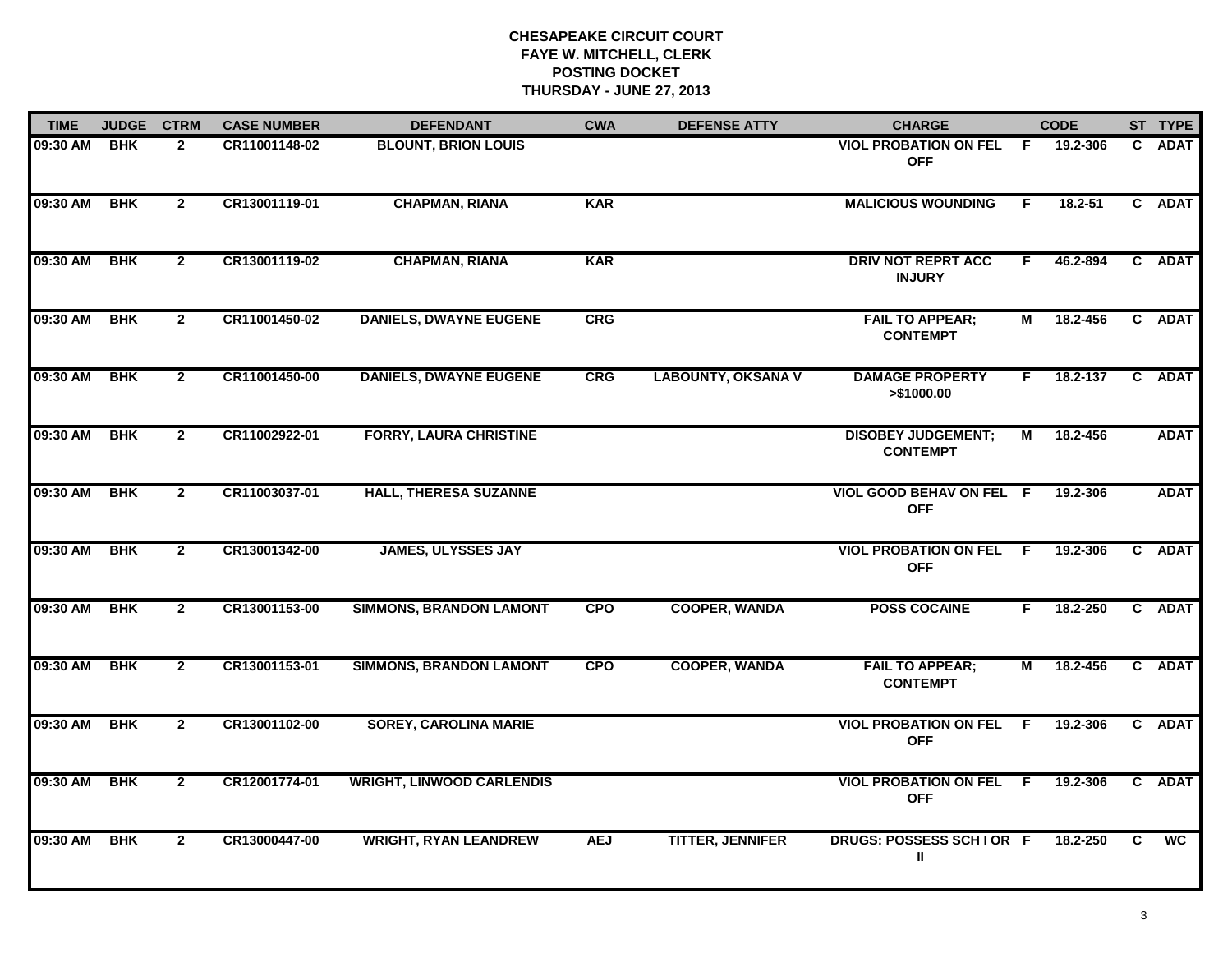| <b>TIME</b> | <b>JUDGE</b> | <b>CTRM</b>    | <b>CASE NUMBER</b> | <b>DEFENDANT</b>                 | <b>CWA</b> | <b>DEFENSE ATTY</b>       | <b>CHARGE</b>                                |     | <b>CODE</b>  |    | ST TYPE     |
|-------------|--------------|----------------|--------------------|----------------------------------|------------|---------------------------|----------------------------------------------|-----|--------------|----|-------------|
| 09:30 AM    | <b>BHK</b>   | $\mathbf{2}$   | CR11001148-02      | <b>BLOUNT, BRION LOUIS</b>       |            |                           | <b>VIOL PROBATION ON FEL</b><br><b>OFF</b>   | F.  | 19.2-306     |    | C ADAT      |
| 09:30 AM    | <b>BHK</b>   | $\overline{2}$ | CR13001119-01      | <b>CHAPMAN, RIANA</b>            | <b>KAR</b> |                           | <b>MALICIOUS WOUNDING</b>                    | F.  | 18.2-51      |    | C ADAT      |
| 09:30 AM    | <b>BHK</b>   | $\overline{2}$ | CR13001119-02      | <b>CHAPMAN, RIANA</b>            | <b>KAR</b> |                           | <b>DRIV NOT REPRT ACC</b><br><b>INJURY</b>   | F.  | 46.2-894     |    | C ADAT      |
| 09:30 AM    | <b>BHK</b>   | $\overline{2}$ | CR11001450-02      | <b>DANIELS, DWAYNE EUGENE</b>    | CRG        |                           | <b>FAIL TO APPEAR;</b><br><b>CONTEMPT</b>    | М   | 18.2-456     |    | C ADAT      |
| 09:30 AM    | <b>BHK</b>   | $\overline{2}$ | CR11001450-00      | <b>DANIELS, DWAYNE EUGENE</b>    | <b>CRG</b> | <b>LABOUNTY, OKSANA V</b> | <b>DAMAGE PROPERTY</b><br>> \$1000.00        | F.  | 18.2-137     |    | C ADAT      |
| 09:30 AM    | <b>BHK</b>   | $\overline{2}$ | CR11002922-01      | <b>FORRY, LAURA CHRISTINE</b>    |            |                           | <b>DISOBEY JUDGEMENT;</b><br><b>CONTEMPT</b> | М   | 18.2-456     |    | <b>ADAT</b> |
| 09:30 AM    | <b>BHK</b>   | $\overline{2}$ | CR11003037-01      | <b>HALL, THERESA SUZANNE</b>     |            |                           | VIOL GOOD BEHAV ON FEL F<br><b>OFF</b>       |     | 19.2-306     |    | <b>ADAT</b> |
| 09:30 AM    | <b>BHK</b>   | $2^{\circ}$    | CR13001342-00      | <b>JAMES, ULYSSES JAY</b>        |            |                           | <b>VIOL PROBATION ON FEL</b><br><b>OFF</b>   | E   | 19.2-306     |    | C ADAT      |
| 09:30 AM    | <b>BHK</b>   | $\overline{2}$ | CR13001153-00      | <b>SIMMONS, BRANDON LAMONT</b>   | <b>CPO</b> | <b>COOPER, WANDA</b>      | <b>POSS COCAINE</b>                          | F.  | 18.2-250     |    | C ADAT      |
| 09:30 AM    | <b>BHK</b>   | $\overline{2}$ | CR13001153-01      | <b>SIMMONS, BRANDON LAMONT</b>   | <b>CPO</b> | <b>COOPER, WANDA</b>      | <b>FAIL TO APPEAR;</b><br><b>CONTEMPT</b>    | М   | 18.2-456     |    | C ADAT      |
| 09:30 AM    | <b>BHK</b>   | $\mathbf{2}$   | CR13001102-00      | <b>SOREY, CAROLINA MARIE</b>     |            |                           | <b>VIOL PROBATION ON FEL</b><br><b>OFF</b>   | - F | 19.2-306     |    | C ADAT      |
| 09:30 AM    | <b>BHK</b>   | $\overline{2}$ | CR12001774-01      | <b>WRIGHT, LINWOOD CARLENDIS</b> |            |                           | <b>VIOL PROBATION ON FEL</b><br><b>OFF</b>   | -F  | 19.2-306     |    | C ADAT      |
| 09:30 AM    | <b>BHK</b>   | $\overline{2}$ | CR13000447-00      | <b>WRIGHT, RYAN LEANDREW</b>     | <b>AEJ</b> | <b>TITTER, JENNIFER</b>   | DRUGS: POSSESS SCHIOR F<br>Ш                 |     | $18.2 - 250$ | C. | <b>WC</b>   |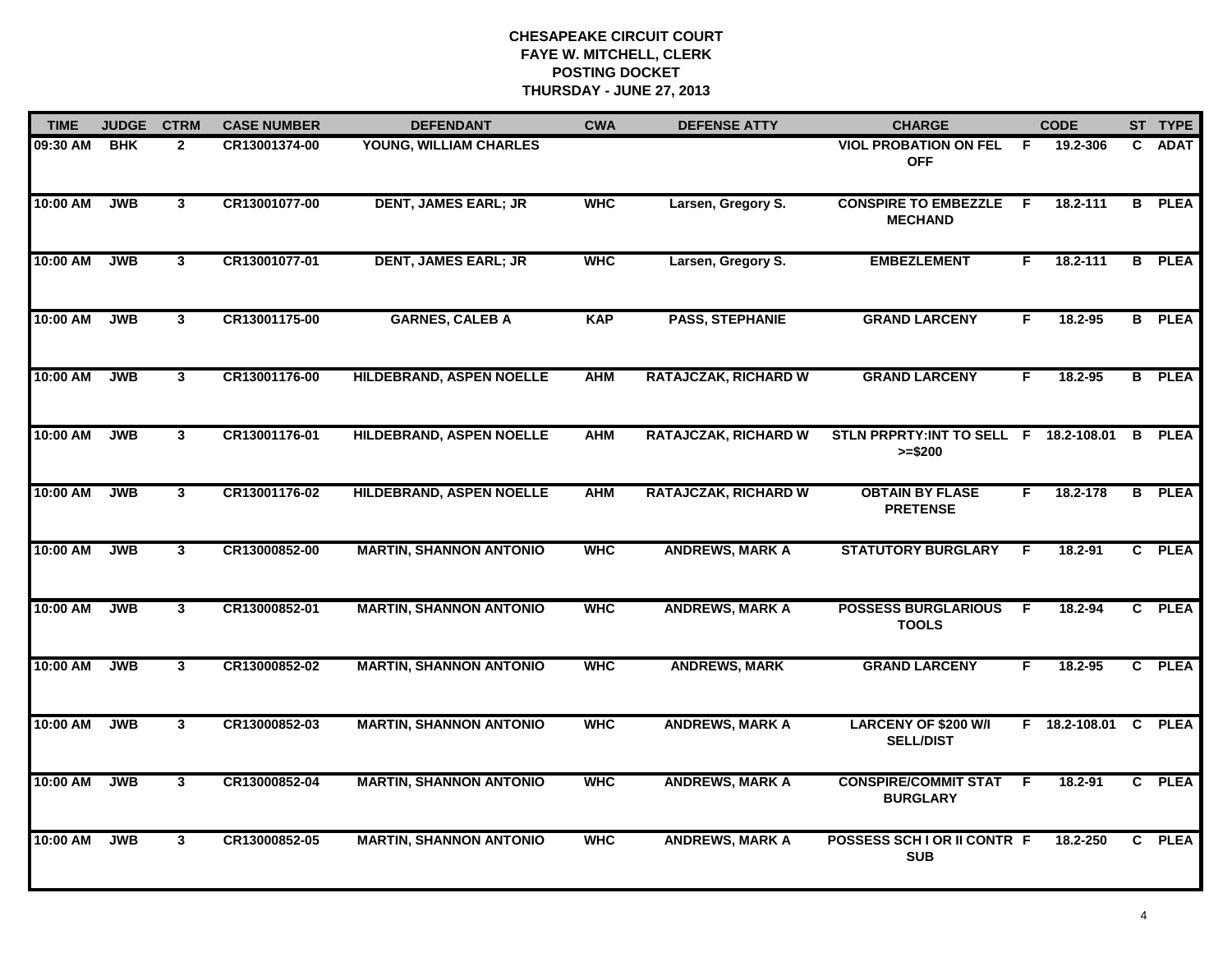| <b>TIME</b> | <b>JUDGE</b> | <b>CTRM</b>    | <b>CASE NUMBER</b> | <b>DEFENDANT</b>                | <b>CWA</b> | <b>DEFENSE ATTY</b>         | <b>CHARGE</b>                                       |    | <b>CODE</b>          |              | ST TYPE       |
|-------------|--------------|----------------|--------------------|---------------------------------|------------|-----------------------------|-----------------------------------------------------|----|----------------------|--------------|---------------|
| 09:30 AM    | <b>BHK</b>   | $\overline{2}$ | CR13001374-00      | YOUNG, WILLIAM CHARLES          |            |                             | <b>VIOL PROBATION ON FEL</b><br><b>OFF</b>          | F  | 19.2-306             | C.           | <b>ADAT</b>   |
| 10:00 AM    | <b>JWB</b>   | $\mathbf{3}$   | CR13001077-00      | <b>DENT, JAMES EARL; JR</b>     | <b>WHC</b> | Larsen, Gregory S.          | <b>CONSPIRE TO EMBEZZLE</b><br><b>MECHAND</b>       | E  | 18.2-111             |              | <b>B</b> PLEA |
| 10:00 AM    | <b>JWB</b>   | 3              | CR13001077-01      | <b>DENT, JAMES EARL; JR</b>     | <b>WHC</b> | Larsen, Gregory S.          | <b>EMBEZLEMENT</b>                                  | F. | 18.2-111             |              | <b>B</b> PLEA |
| 10:00 AM    | <b>JWB</b>   | $\mathbf{3}$   | CR13001175-00      | <b>GARNES, CALEB A</b>          | <b>KAP</b> | <b>PASS, STEPHANIE</b>      | <b>GRAND LARCENY</b>                                | F  | 18.2-95              |              | <b>B</b> PLEA |
| 10:00 AM    | <b>JWB</b>   | $\overline{3}$ | CR13001176-00      | HILDEBRAND, ASPEN NOELLE        | <b>AHM</b> | <b>RATAJCZAK, RICHARD W</b> | <b>GRAND LARCENY</b>                                | F  | 18.2-95              |              | <b>B</b> PLEA |
| 10:00 AM    | <b>JWB</b>   | 3              | CR13001176-01      | <b>HILDEBRAND, ASPEN NOELLE</b> | <b>AHM</b> | <b>RATAJCZAK, RICHARD W</b> | STLN PRPRTY: INT TO SELL F 18.2-108.01<br>$>= $200$ |    |                      | B            | <b>PLEA</b>   |
| 10:00 AM    | <b>JWB</b>   | $\overline{3}$ | CR13001176-02      | HILDEBRAND, ASPEN NOELLE        | <b>AHM</b> | <b>RATAJCZAK, RICHARD W</b> | <b>OBTAIN BY FLASE</b><br><b>PRETENSE</b>           | F. | 18.2-178             |              | <b>B</b> PLEA |
| 10:00 AM    | <b>JWB</b>   | $\mathbf{3}$   | CR13000852-00      | <b>MARTIN, SHANNON ANTONIO</b>  | <b>WHC</b> | <b>ANDREWS, MARK A</b>      | <b>STATUTORY BURGLARY</b>                           | F  | 18.2-91              |              | C PLEA        |
| 10:00 AM    | <b>JWB</b>   | $\mathbf{3}$   | CR13000852-01      | <b>MARTIN, SHANNON ANTONIO</b>  | <b>WHC</b> | <b>ANDREWS, MARK A</b>      | <b>POSSESS BURGLARIOUS</b><br><b>TOOLS</b>          | -F | 18.2-94              |              | C PLEA        |
| 10:00 AM    | <b>JWB</b>   | $\mathbf{3}$   | CR13000852-02      | <b>MARTIN, SHANNON ANTONIO</b>  | <b>WHC</b> | <b>ANDREWS, MARK</b>        | <b>GRAND LARCENY</b>                                | F. | 18.2-95              |              | C PLEA        |
| 10:00 AM    | <b>JWB</b>   | $\overline{3}$ | CR13000852-03      | <b>MARTIN, SHANNON ANTONIO</b>  | <b>WHC</b> | <b>ANDREWS, MARK A</b>      | <b>LARCENY OF \$200 W/I</b><br><b>SELL/DIST</b>     |    | F 18.2-108.01 C PLEA |              |               |
| 10:00 AM    | <b>JWB</b>   | 3              | CR13000852-04      | <b>MARTIN, SHANNON ANTONIO</b>  | <b>WHC</b> | <b>ANDREWS, MARK A</b>      | <b>CONSPIRE/COMMIT STAT</b><br><b>BURGLARY</b>      | E  | 18.2-91              |              | C PLEA        |
| 10:00 AM    | <b>JWB</b>   | $\mathbf{3}$   | CR13000852-05      | <b>MARTIN, SHANNON ANTONIO</b>  | <b>WHC</b> | <b>ANDREWS, MARK A</b>      | POSSESS SCH I OR II CONTR F<br><b>SUB</b>           |    | 18.2-250             | $\mathbf{c}$ | <b>PLEA</b>   |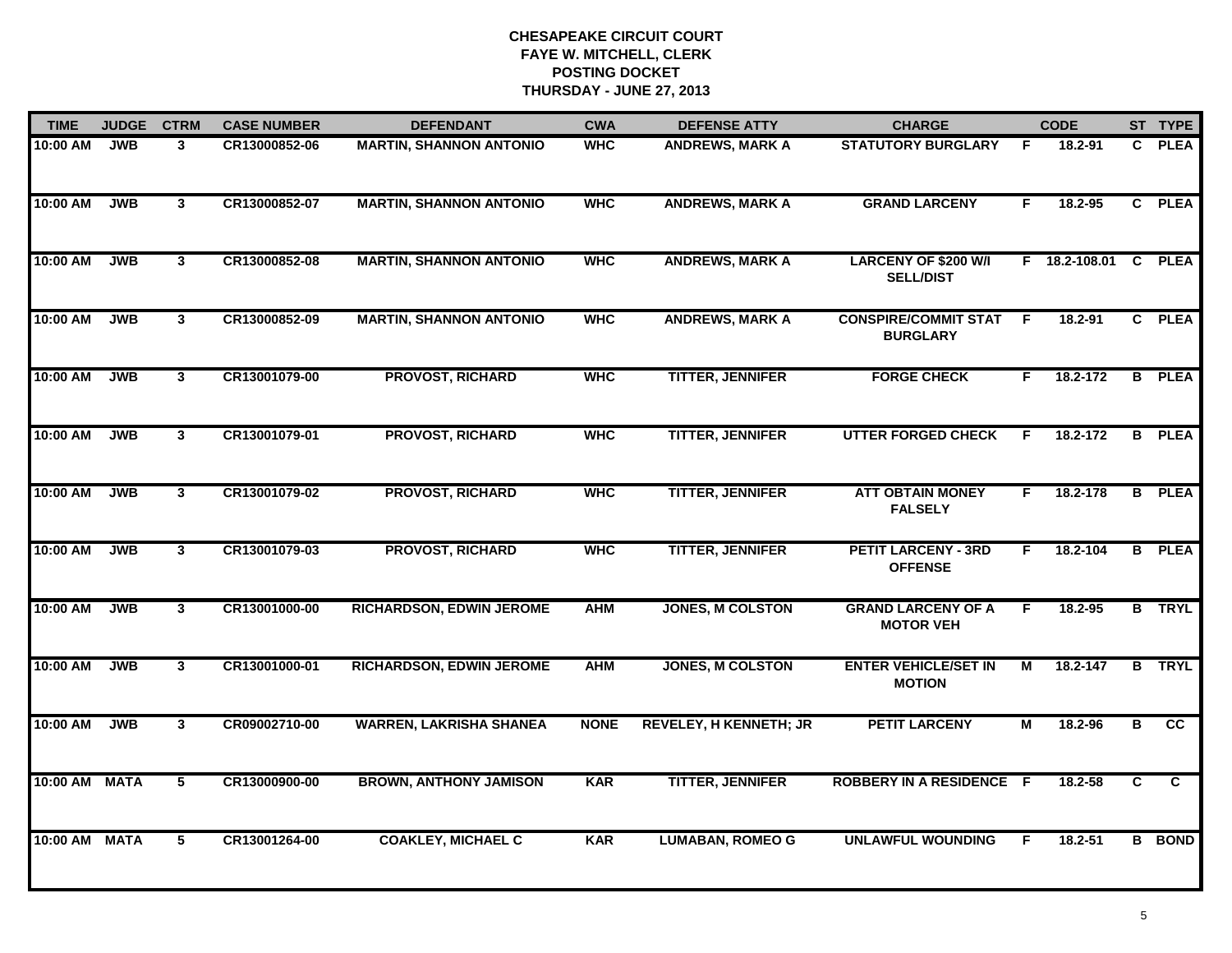| <b>TIME</b>   | <b>JUDGE</b> | <b>CTRM</b>    | <b>CASE NUMBER</b> | <b>DEFENDANT</b>                | <b>CWA</b>  | <b>DEFENSE ATTY</b>           | <b>CHARGE</b>                                   |    | <b>CODE</b>   |              | ST TYPE       |
|---------------|--------------|----------------|--------------------|---------------------------------|-------------|-------------------------------|-------------------------------------------------|----|---------------|--------------|---------------|
| 10:00 AM      | <b>JWB</b>   | 3              | CR13000852-06      | <b>MARTIN, SHANNON ANTONIO</b>  | <b>WHC</b>  | <b>ANDREWS, MARK A</b>        | <b>STATUTORY BURGLARY</b>                       | F. | 18.2-91       | $\mathbf{c}$ | <b>PLEA</b>   |
| 10:00 AM      | <b>JWB</b>   | $\mathbf{3}$   | CR13000852-07      | <b>MARTIN, SHANNON ANTONIO</b>  | <b>WHC</b>  | <b>ANDREWS, MARK A</b>        | <b>GRAND LARCENY</b>                            | F. | 18.2-95       |              | C PLEA        |
| 10:00 AM      | <b>JWB</b>   | $\mathbf{3}$   | CR13000852-08      | <b>MARTIN, SHANNON ANTONIO</b>  | <b>WHC</b>  | <b>ANDREWS, MARK A</b>        | <b>LARCENY OF \$200 W/I</b><br><b>SELL/DIST</b> |    | F 18.2-108.01 | $\mathbf{c}$ | <b>PLEA</b>   |
| 10:00 AM      | <b>JWB</b>   | 3              | CR13000852-09      | <b>MARTIN, SHANNON ANTONIO</b>  | <b>WHC</b>  | <b>ANDREWS, MARK A</b>        | <b>CONSPIRE/COMMIT STAT</b><br><b>BURGLARY</b>  | F  | 18.2-91       |              | C PLEA        |
| 10:00 AM      | <b>JWB</b>   | 3 <sup>1</sup> | CR13001079-00      | <b>PROVOST, RICHARD</b>         | <b>WHC</b>  | <b>TITTER, JENNIFER</b>       | <b>FORGE CHECK</b>                              | F. | 18.2-172      |              | <b>B</b> PLEA |
| 10:00 AM      | <b>JWB</b>   | $\mathbf{3}$   | CR13001079-01      | <b>PROVOST, RICHARD</b>         | <b>WHC</b>  | <b>TITTER, JENNIFER</b>       | <b>UTTER FORGED CHECK</b>                       | F  | 18.2-172      | B            | <b>PLEA</b>   |
| 10:00 AM      | <b>JWB</b>   | $\mathbf{3}$   | CR13001079-02      | <b>PROVOST, RICHARD</b>         | <b>WHC</b>  | <b>TITTER, JENNIFER</b>       | <b>ATT OBTAIN MONEY</b><br><b>FALSELY</b>       | F. | 18.2-178      |              | <b>B</b> PLEA |
| 10:00 AM      | <b>JWB</b>   | $\mathbf{3}$   | CR13001079-03      | <b>PROVOST, RICHARD</b>         | <b>WHC</b>  | <b>TITTER, JENNIFER</b>       | <b>PETIT LARCENY - 3RD</b><br><b>OFFENSE</b>    | F. | 18.2-104      |              | <b>B</b> PLEA |
| 10:00 AM      | <b>JWB</b>   | 3              | CR13001000-00      | <b>RICHARDSON, EDWIN JEROME</b> | <b>AHM</b>  | <b>JONES, M COLSTON</b>       | <b>GRAND LARCENY OF A</b><br><b>MOTOR VEH</b>   | F  | 18.2-95       |              | <b>B</b> TRYL |
| 10:00 AM      | <b>JWB</b>   | 3 <sup>1</sup> | CR13001000-01      | <b>RICHARDSON, EDWIN JEROME</b> | <b>AHM</b>  | <b>JONES, M COLSTON</b>       | <b>ENTER VEHICLE/SET IN</b><br><b>MOTION</b>    | М  | 18.2-147      |              | <b>B</b> TRYL |
| 10:00 AM      | <b>JWB</b>   | $\mathbf{3}$   | CR09002710-00      | <b>WARREN, LAKRISHA SHANEA</b>  | <b>NONE</b> | <b>REVELEY, H KENNETH; JR</b> | <b>PETIT LARCENY</b>                            | М  | 18.2-96       | В            | cc            |
| 10:00 AM MATA |              | 5              | CR13000900-00      | <b>BROWN, ANTHONY JAMISON</b>   | <b>KAR</b>  | <b>TITTER, JENNIFER</b>       | <b>ROBBERY IN A RESIDENCE F</b>                 |    | 18.2-58       | C            | C             |
| 10:00 AM MATA |              | 5              | CR13001264-00      | <b>COAKLEY, MICHAEL C</b>       | <b>KAR</b>  | <b>LUMABAN, ROMEO G</b>       | <b>UNLAWFUL WOUNDING</b>                        | F  | 18.2-51       |              | <b>B</b> BOND |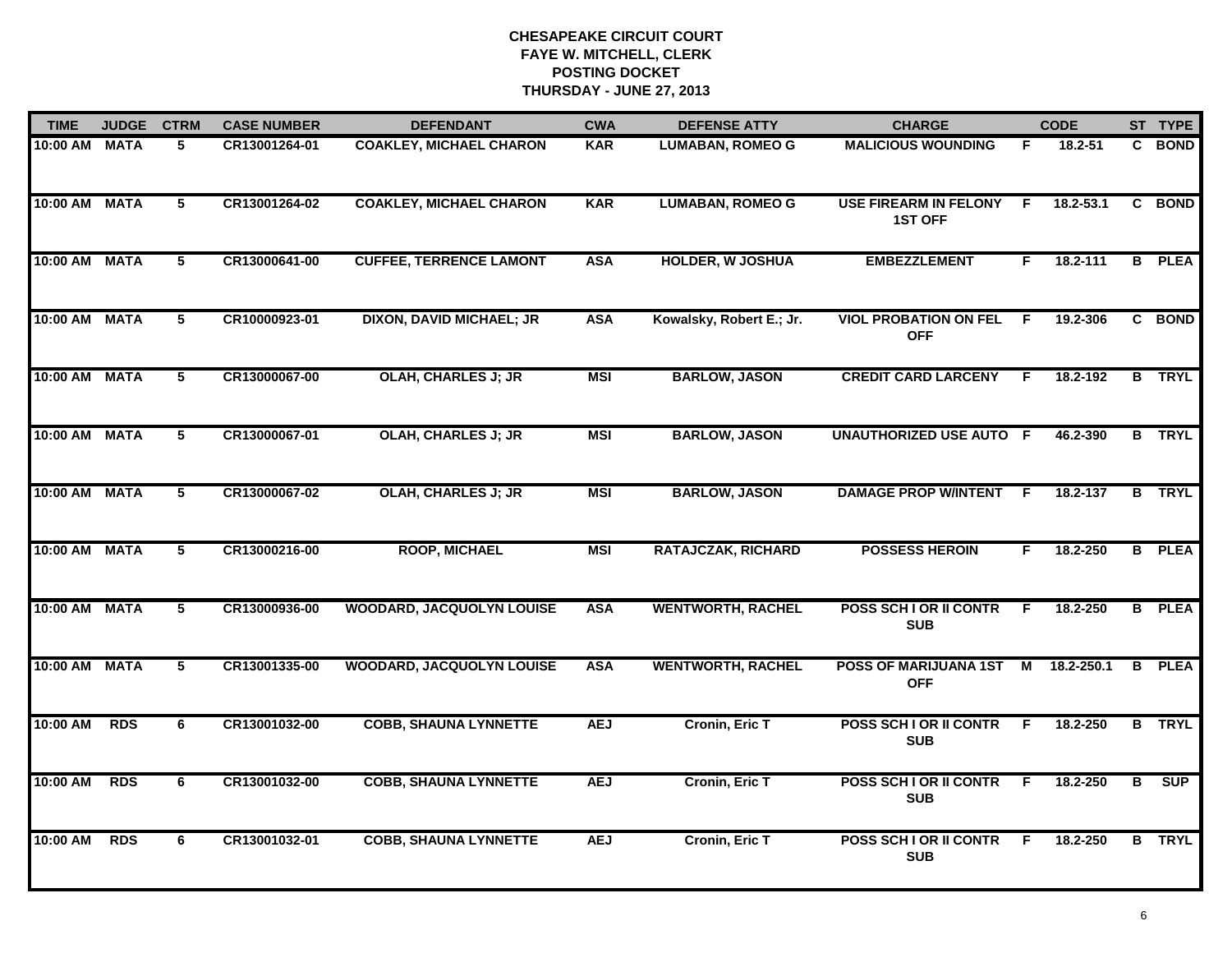| <b>TIME</b>   | <b>JUDGE</b> | <b>CTRM</b> | <b>CASE NUMBER</b> | <b>DEFENDANT</b>                 | <b>CWA</b> | <b>DEFENSE ATTY</b>       | <b>CHARGE</b>                                  |    | <b>CODE</b> |    | ST TYPE       |
|---------------|--------------|-------------|--------------------|----------------------------------|------------|---------------------------|------------------------------------------------|----|-------------|----|---------------|
| 10:00 AM MATA |              | 5           | CR13001264-01      | <b>COAKLEY, MICHAEL CHARON</b>   | <b>KAR</b> | <b>LUMABAN, ROMEO G</b>   | <b>MALICIOUS WOUNDING</b>                      | F  | 18.2-51     | C. | <b>BOND</b>   |
| 10:00 AM MATA |              | 5           | CR13001264-02      | <b>COAKLEY, MICHAEL CHARON</b>   | <b>KAR</b> | <b>LUMABAN, ROMEO G</b>   | <b>USE FIREARM IN FELONY</b><br><b>1ST OFF</b> | F. | 18.2-53.1   | C. | <b>BOND</b>   |
| 10:00 AM MATA |              | 5           | CR13000641-00      | <b>CUFFEE, TERRENCE LAMONT</b>   | <b>ASA</b> | <b>HOLDER, W JOSHUA</b>   | <b>EMBEZZLEMENT</b>                            | F  | 18.2-111    | B  | <b>PLEA</b>   |
| 10:00 AM MATA |              | 5           | CR10000923-01      | <b>DIXON, DAVID MICHAEL; JR</b>  | <b>ASA</b> | Kowalsky, Robert E.; Jr.  | <b>VIOL PROBATION ON FEL</b><br><b>OFF</b>     | F. | 19.2-306    |    | C BOND        |
| 10:00 AM MATA |              | 5           | CR13000067-00      | <b>OLAH, CHARLES J; JR</b>       | <b>MSI</b> | <b>BARLOW, JASON</b>      | <b>CREDIT CARD LARCENY</b>                     | E  | 18.2-192    |    | <b>B</b> TRYL |
| 10:00 AM MATA |              | 5           | CR13000067-01      | <b>OLAH, CHARLES J; JR</b>       | <b>MSI</b> | <b>BARLOW, JASON</b>      | <b>UNAUTHORIZED USE AUTO F</b>                 |    | 46.2-390    |    | <b>B</b> TRYL |
| 10:00 AM MATA |              | 5           | CR13000067-02      | <b>OLAH, CHARLES J; JR</b>       | <b>MSI</b> | <b>BARLOW, JASON</b>      | <b>DAMAGE PROP W/INTENT</b>                    | -F | 18.2-137    |    | <b>B</b> TRYL |
| 10:00 AM MATA |              | 5           | CR13000216-00      | <b>ROOP, MICHAEL</b>             | <b>MSI</b> | <b>RATAJCZAK, RICHARD</b> | <b>POSSESS HEROIN</b>                          | F  | 18.2-250    |    | <b>B</b> PLEA |
| 10:00 AM MATA |              | 5           | CR13000936-00      | <b>WOODARD, JACQUOLYN LOUISE</b> | <b>ASA</b> | <b>WENTWORTH, RACHEL</b>  | POSS SCH I OR II CONTR<br><b>SUB</b>           | F  | 18.2-250    |    | <b>B</b> PLEA |
| 10:00 AM MATA |              | 5           | CR13001335-00      | <b>WOODARD, JACQUOLYN LOUISE</b> | <b>ASA</b> | <b>WENTWORTH, RACHEL</b>  | POSS OF MARIJUANA 1ST<br><b>OFF</b>            | М  | 18.2-250.1  | B  | <b>PLEA</b>   |
| 10:00 AM      | <b>RDS</b>   | 6           | CR13001032-00      | <b>COBB, SHAUNA LYNNETTE</b>     | <b>AEJ</b> | <b>Cronin, Eric T</b>     | POSS SCH I OR II CONTR<br><b>SUB</b>           | F. | 18.2-250    |    | <b>B</b> TRYL |
| 10:00 AM      | <b>RDS</b>   | 6           | CR13001032-00      | <b>COBB, SHAUNA LYNNETTE</b>     | <b>AEJ</b> | <b>Cronin, Eric T</b>     | POSS SCH I OR II CONTR<br><b>SUB</b>           | F  | 18.2-250    | B  | SUP           |
| 10:00 AM      | <b>RDS</b>   | 6           | CR13001032-01      | <b>COBB, SHAUNA LYNNETTE</b>     | <b>AEJ</b> | Cronin, Eric T            | <b>POSS SCH I OR II CONTR</b><br><b>SUB</b>    | F  | 18.2-250    |    | <b>B</b> TRYL |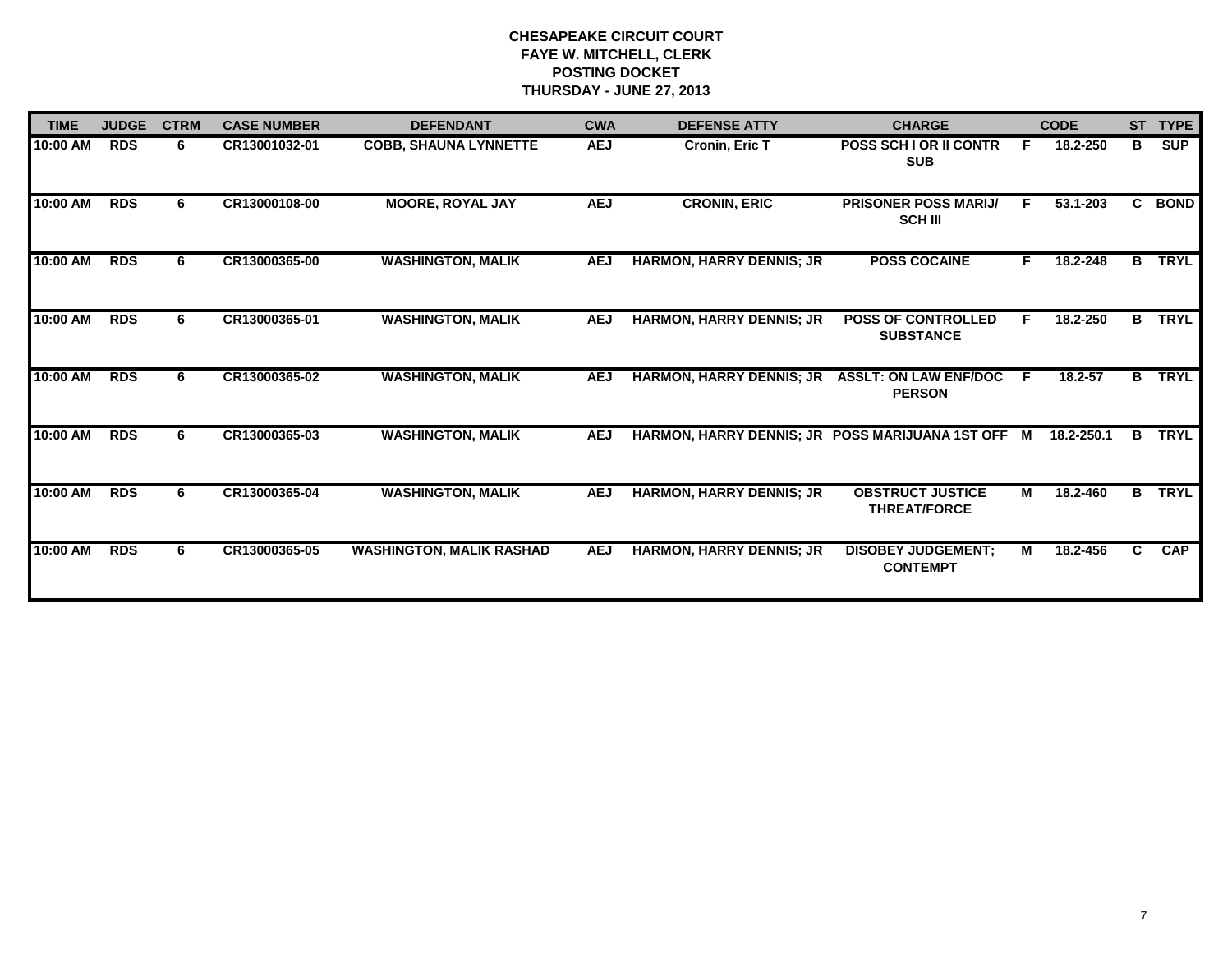| <b>TIME</b> | <b>JUDGE</b> | <b>CTRM</b> | <b>CASE NUMBER</b> | <b>DEFENDANT</b>                | <b>CWA</b> | <b>DEFENSE ATTY</b>                               | <b>CHARGE</b>                                  |    | <b>CODE</b> | <b>ST</b> | <b>TYPE</b> |
|-------------|--------------|-------------|--------------------|---------------------------------|------------|---------------------------------------------------|------------------------------------------------|----|-------------|-----------|-------------|
| 10:00 AM    | <b>RDS</b>   | 6           | CR13001032-01      | <b>COBB, SHAUNA LYNNETTE</b>    | <b>AEJ</b> | Cronin, Eric T                                    | <b>POSS SCH LOR II CONTR</b><br><b>SUB</b>     | E  | 18.2-250    | B         | <b>SUP</b>  |
| 10:00 AM    | <b>RDS</b>   | 6.          | CR13000108-00      | <b>MOORE, ROYAL JAY</b>         | <b>AEJ</b> | <b>CRONIN, ERIC</b>                               | <b>PRISONER POSS MARIJ/</b><br><b>SCH III</b>  | F. | 53.1-203    |           | C BOND      |
| 10:00 AM    | <b>RDS</b>   | 6           | CR13000365-00      | <b>WASHINGTON, MALIK</b>        | <b>AEJ</b> | <b>HARMON, HARRY DENNIS; JR</b>                   | <b>POSS COCAINE</b>                            | F. | 18.2-248    | B         | <b>TRYL</b> |
| 10:00 AM    | <b>RDS</b>   | 6           | CR13000365-01      | <b>WASHINGTON, MALIK</b>        | <b>AEJ</b> | <b>HARMON, HARRY DENNIS; JR</b>                   | <b>POSS OF CONTROLLED</b><br><b>SUBSTANCE</b>  | F. | 18.2-250    | B.        | <b>TRYL</b> |
| 10:00 AM    | <b>RDS</b>   | 6.          | CR13000365-02      | <b>WASHINGTON, MALIK</b>        | <b>AEJ</b> | <b>HARMON, HARRY DENNIS; JR</b>                   | <b>ASSLT: ON LAW ENF/DOC</b><br><b>PERSON</b>  | F. | $18.2 - 57$ | B         | <b>TRYL</b> |
| 10:00 AM    | <b>RDS</b>   | 6.          | CR13000365-03      | <b>WASHINGTON, MALIK</b>        | <b>AEJ</b> | HARMON, HARRY DENNIS; JR POSS MARIJUANA 1ST OFF M |                                                |    | 18.2-250.1  | в         | <b>TRYL</b> |
| 10:00 AM    | <b>RDS</b>   | 6           | CR13000365-04      | <b>WASHINGTON, MALIK</b>        | <b>AEJ</b> | <b>HARMON, HARRY DENNIS; JR</b>                   | <b>OBSTRUCT JUSTICE</b><br><b>THREAT/FORCE</b> | М  | 18.2-460    | B.        | <b>TRYL</b> |
| 10:00 AM    | <b>RDS</b>   | 6           | CR13000365-05      | <b>WASHINGTON, MALIK RASHAD</b> | <b>AEJ</b> | <b>HARMON, HARRY DENNIS; JR</b>                   | <b>DISOBEY JUDGEMENT:</b><br><b>CONTEMPT</b>   | М  | 18.2-456    | C.        | <b>CAP</b>  |